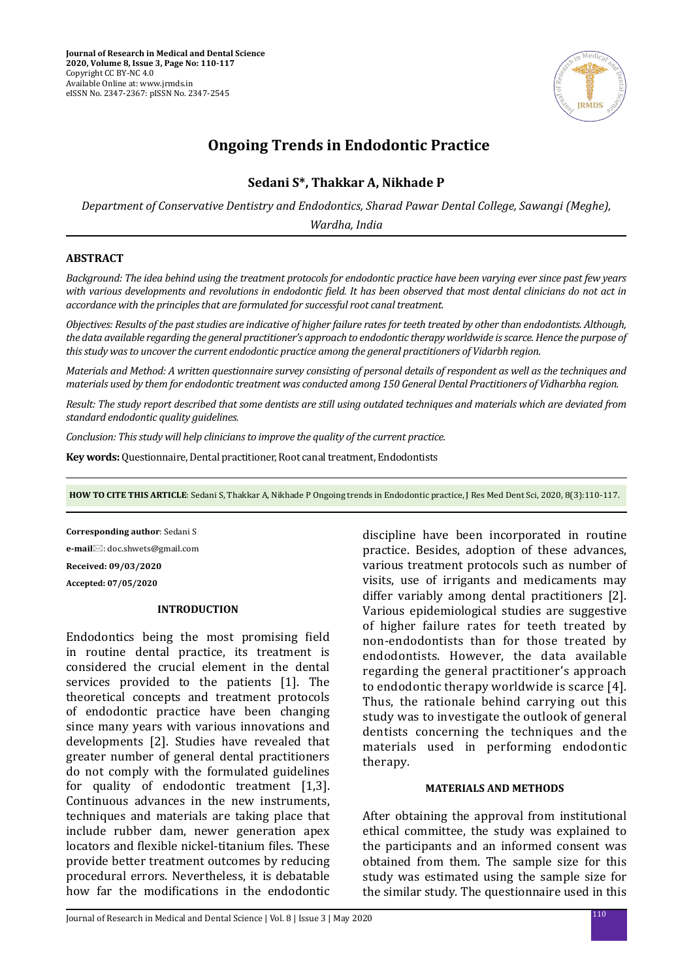

# **Ongoing Trends in Endodontic Practice**

# **Sedani S\*, Thakkar A, Nikhade P**

*Department of Conservative Dentistry and Endodontics, Sharad Pawar Dental College, Sawangi (Meghe), Wardha, India*

# **ABSTRACT**

*Background: The idea behind using the treatment protocols for endodontic practice have been varying ever since past few years with various developments and revolutions in endodontic field. It has been observed that most dental clinicians do not act in accordance with the principles that are formulated for successful root canal treatment.*

*Objectives: Results of the past studies are indicative of higher failure rates for teeth treated by other than endodontists. Although, the data available regarding the general practitioner's approach to endodontic therapy worldwide is scarce. Hence the purpose of this study was to uncover the current endodontic practice among the general practitioners of Vidarbh region.*

*Materials and Method: A written questionnaire survey consisting of personal details of respondent as well as the techniques and materials used by them for endodontic treatment was conducted among 150 General Dental Practitioners of Vidharbha region.*

*Result: The study report described that some dentists are still using outdated techniques and materials which are deviated from standard endodontic quality guidelines.* 

*Conclusion: This study will help clinicians to improve the quality of the current practice.*

**Key words:** Questionnaire, Dental practitioner, Root canal treatment, Endodontists

**HOW TO CITE THIS ARTICLE**: Sedani S, Thakkar A, Nikhade P Ongoing trends in Endodontic practice, J Res Med Dent Sci, 2020, 8(3):110-117.

**Corresponding author**: Sedani S **e-mail**: doc.shwets@gmail.com **Received: 09/03/2020 Accepted: 07/05/2020**

### **INTRODUCTION**

Endodontics being the most promising field in routine dental practice, its treatment is considered the crucial element in the dental services provided to the patients [1]. The theoretical concepts and treatment protocols of endodontic practice have been changing since many years with various innovations and developments [2]. Studies have revealed that greater number of general dental practitioners do not comply with the formulated guidelines for quality of endodontic treatment [1,3]. Continuous advances in the new instruments, techniques and materials are taking place that include rubber dam, newer generation apex locators and flexible nickel-titanium files. These provide better treatment outcomes by reducing procedural errors. Nevertheless, it is debatable how far the modifications in the endodontic discipline have been incorporated in routine practice. Besides, adoption of these advances, various treatment protocols such as number of visits, use of irrigants and medicaments may differ variably among dental practitioners [2]. Various epidemiological studies are suggestive of higher failure rates for teeth treated by non-endodontists than for those treated by endodontists. However, the data available regarding the general practitioner's approach to endodontic therapy worldwide is scarce [4]. Thus, the rationale behind carrying out this study was to investigate the outlook of general dentists concerning the techniques and the materials used in performing endodontic therapy.

### **MATERIALS AND METHODS**

After obtaining the approval from institutional ethical committee, the study was explained to the participants and an informed consent was obtained from them. The sample size for this study was estimated using the sample size for the similar study. The questionnaire used in this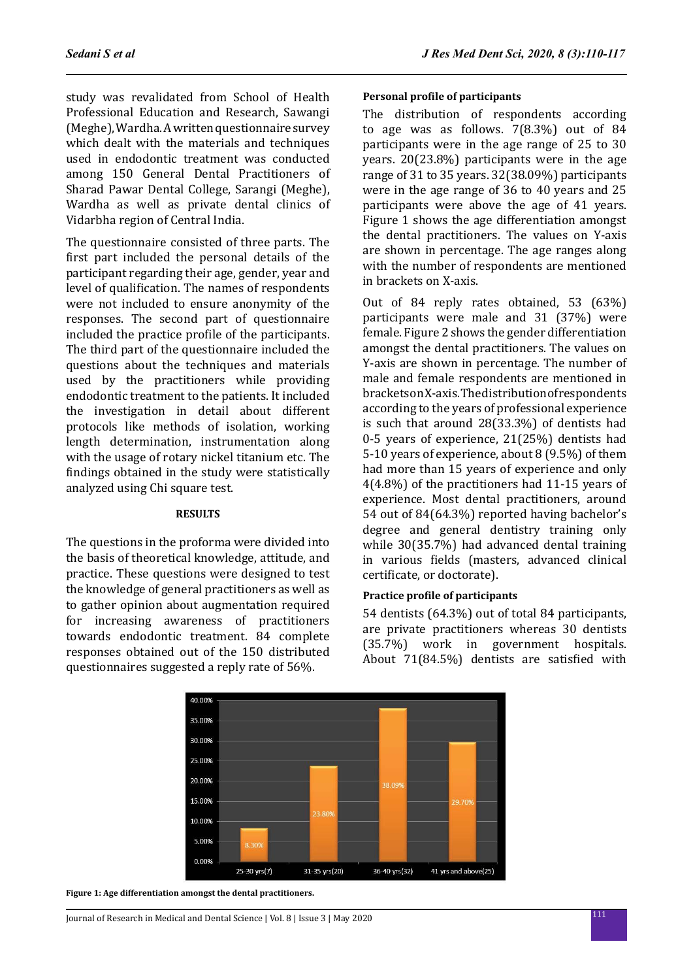study was revalidated from School of Health Professional Education and Research, Sawangi (Meghe), Wardha. A written questionnaire survey which dealt with the materials and techniques used in endodontic treatment was conducted among 150 General Dental Practitioners of Sharad Pawar Dental College, Sarangi (Meghe), Wardha as well as private dental clinics of Vidarbha region of Central India.

The questionnaire consisted of three parts. The first part included the personal details of the participant regarding their age, gender, year and level of qualification. The names of respondents were not included to ensure anonymity of the responses. The second part of questionnaire included the practice profile of the participants. The third part of the questionnaire included the questions about the techniques and materials used by the practitioners while providing endodontic treatment to the patients. It included the investigation in detail about different protocols like methods of isolation, working length determination, instrumentation along with the usage of rotary nickel titanium etc. The findings obtained in the study were statistically analyzed using Chi square test.

#### **RESULTS**

The questions in the proforma were divided into the basis of theoretical knowledge, attitude, and practice. These questions were designed to test the knowledge of general practitioners as well as to gather opinion about augmentation required for increasing awareness of practitioners towards endodontic treatment. 84 complete responses obtained out of the 150 distributed questionnaires suggested a reply rate of 56%.

### **Personal profile of participants**

The distribution of respondents according to age was as follows. 7(8.3%) out of 84 participants were in the age range of 25 to 30 years. 20(23.8%) participants were in the age range of 31 to 35 years. 32(38.09%) participants were in the age range of 36 to 40 years and 25 participants were above the age of 41 years. Figure 1 shows the age differentiation amongst the dental practitioners. The values on Y-axis are shown in percentage. The age ranges along with the number of respondents are mentioned in brackets on X-axis.

Out of 84 reply rates obtained, 53 (63%) participants were male and 31 (37%) were female. Figure 2 shows the gender differentiation amongst the dental practitioners. The values on Y-axis are shown in percentage. The number of male and female respondents are mentioned in brackets on X-axis. The distribution of respondents according to the years of professional experience is such that around 28(33.3%) of dentists had 0-5 years of experience, 21(25%) dentists had 5-10 years of experience, about 8 (9.5%) of them had more than 15 years of experience and only 4(4.8%) of the practitioners had 11-15 years of experience. Most dental practitioners, around 54 out of 84(64.3%) reported having bachelor's degree and general dentistry training only while 30(35.7%) had advanced dental training in various fields (masters, advanced clinical certificate, or doctorate).

# **Practice profile of participants**

54 dentists (64.3%) out of total 84 participants, are private practitioners whereas 30 dentists (35.7%) work in government hospitals. About 71(84.5%) dentists are satisfied with



**Figure 1: Age differentiation amongst the dental practitioners.**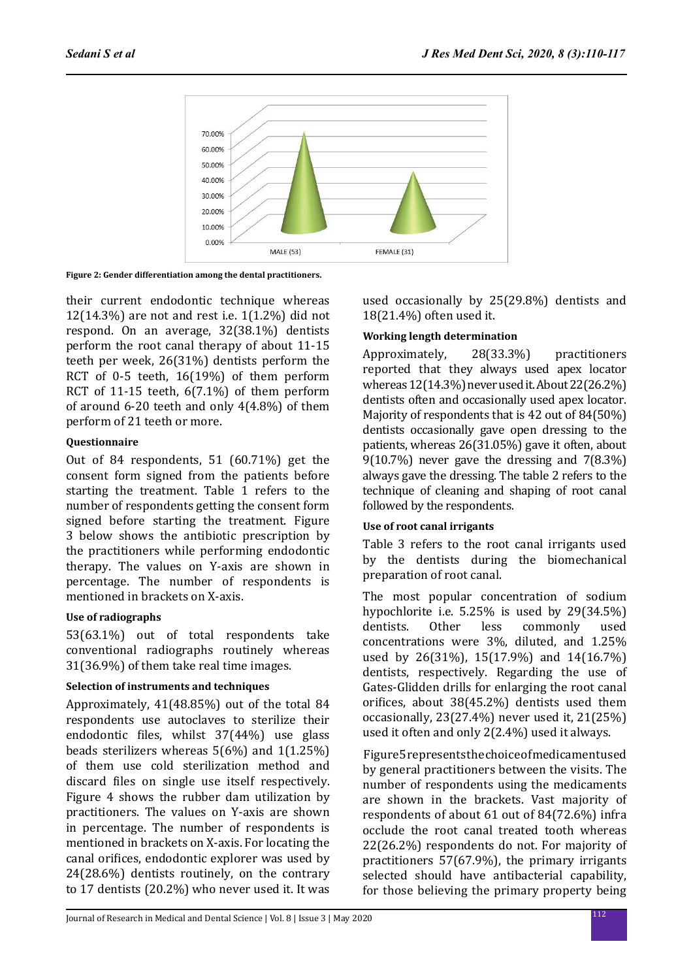

**Figure 2: Gender differentiation among the dental practitioners.**

their current endodontic technique whereas 12(14.3%) are not and rest i.e. 1(1.2%) did not respond. On an average, 32(38.1%) dentists perform the root canal therapy of about 11-15 teeth per week, 26(31%) dentists perform the RCT of 0-5 teeth, 16(19%) of them perform RCT of 11-15 teeth, 6(7.1%) of them perform of around 6-20 teeth and only 4(4.8%) of them perform of 21 teeth or more.

# **Questionnaire**

Out of 84 respondents, 51 (60.71%) get the consent form signed from the patients before starting the treatment. Table 1 refers to the number of respondents getting the consent form signed before starting the treatment. Figure 3 below shows the antibiotic prescription by the practitioners while performing endodontic therapy. The values on Y-axis are shown in percentage. The number of respondents is mentioned in brackets on X-axis.

# **Use of radiographs**

53(63.1%) out of total respondents take conventional radiographs routinely whereas 31(36.9%) of them take real time images.

# **Selection of instruments and techniques**

Approximately, 41(48.85%) out of the total 84 respondents use autoclaves to sterilize their endodontic files, whilst 37(44%) use glass beads sterilizers whereas 5(6%) and 1(1.25%) of them use cold sterilization method and discard files on single use itself respectively. Figure 4 shows the rubber dam utilization by practitioners. The values on Y-axis are shown in percentage. The number of respondents is mentioned in brackets on X-axis. For locating the canal orifices, endodontic explorer was used by 24(28.6%) dentists routinely, on the contrary to 17 dentists (20.2%) who never used it. It was used occasionally by 25(29.8%) dentists and 18(21.4%) often used it.

# **Working length determination**

Approximately, 28(33.3%) practitioners reported that they always used apex locator whereas 12(14.3%) never used it. About 22(26.2%) dentists often and occasionally used apex locator. Majority of respondents that is 42 out of 84(50%) dentists occasionally gave open dressing to the patients, whereas 26(31.05%) gave it often, about 9(10.7%) never gave the dressing and 7(8.3%) always gave the dressing. The table 2 refers to the technique of cleaning and shaping of root canal followed by the respondents.

# **Use of root canal irrigants**

Table 3 refers to the root canal irrigants used by the dentists during the biomechanical preparation of root canal.

The most popular concentration of sodium hypochlorite i.e. 5.25% is used by 29(34.5%)<br>dentists. Other less commonly used commonly concentrations were 3%, diluted, and 1.25% used by 26(31%), 15(17.9%) and 14(16.7%) dentists, respectively. Regarding the use of Gates-Glidden drills for enlarging the root canal orifices, about 38(45.2%) dentists used them occasionally, 23(27.4%) never used it, 21(25%) used it often and only 2(2.4%) used it always.

 Figure 5 represents the choice of medicament used by general practitioners between the visits. The number of respondents using the medicaments are shown in the brackets. Vast majority of respondents of about 61 out of 84(72.6%) infra occlude the root canal treated tooth whereas 22(26.2%) respondents do not. For majority of practitioners 57(67.9%), the primary irrigants selected should have antibacterial capability, for those believing the primary property being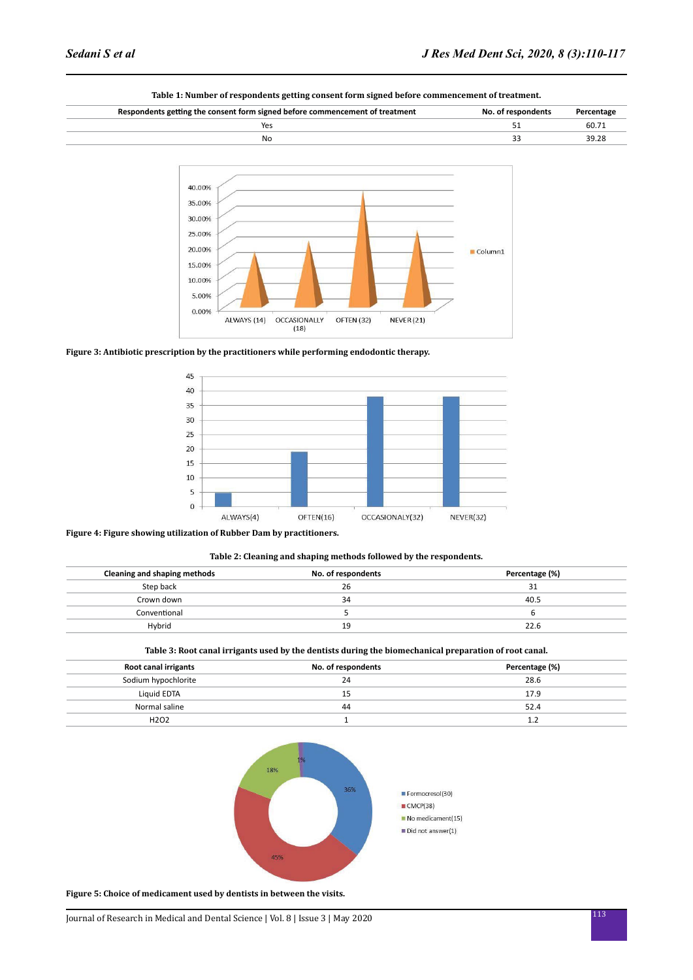

OFTEN (32)

NEVER (21)

#### **Table 1: Number of respondents getting consent form signed before commencement of treatment.**

**Figure 3: Antibiotic prescription by the practitioners while performing endodontic therapy.**

ALWAYS (14)

OCCASIONALLY

 $(18)$ 



#### **Figure 4: Figure showing utilization of Rubber Dam by practitioners.**

0.00%

#### **Table 2: Cleaning and shaping methods followed by the respondents.**

| Cleaning and shaping methods | No. of respondents | Percentage (%) |
|------------------------------|--------------------|----------------|
| Step back                    | 26                 | 31             |
| Crown down                   | 34                 | 40.5           |
| Conventional                 |                    |                |
| Hybrid                       | 19                 | 22.6           |
|                              |                    |                |

#### **Table 3: Root canal irrigants used by the dentists during the biomechanical preparation of root canal.**

| Root canal irrigants          | No. of respondents | Percentage (%) |
|-------------------------------|--------------------|----------------|
| Sodium hypochlorite           | 24                 | 28.6           |
| Liquid EDTA                   | 15                 | 17.9           |
| Normal saline                 | 44                 | 52.4           |
| H <sub>2</sub> O <sub>2</sub> |                    | 1.2            |



**Figure 5: Choice of medicament used by dentists in between the visits.**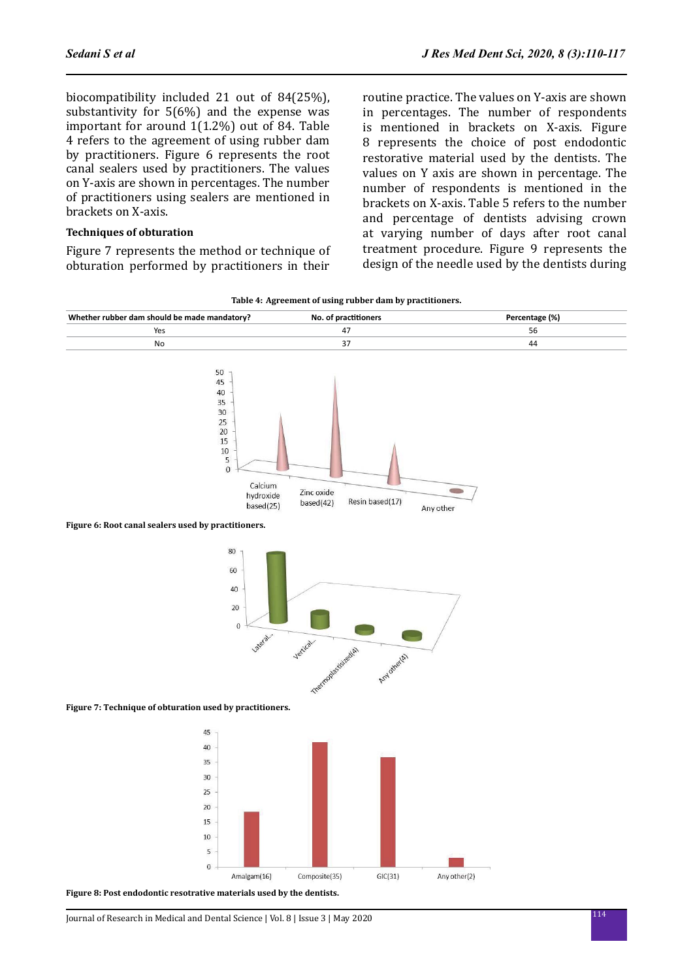biocompatibility included 21 out of 84(25%), substantivity for 5(6%) and the expense was important for around 1(1.2%) out of 84. Table 4 refers to the agreement of using rubber dam by practitioners. Figure 6 represents the root canal sealers used by practitioners. The values on Y-axis are shown in percentages. The number of practitioners using sealers are mentioned in brackets on X-axis.

### **Techniques of obturation**

Figure 7 represents the method or technique of obturation performed by practitioners in their routine practice. The values on Y-axis are shown in percentages. The number of respondents is mentioned in brackets on X-axis. Figure 8 represents the choice of post endodontic restorative material used by the dentists. The values on Y axis are shown in percentage. The number of respondents is mentioned in the brackets on X-axis. Table 5 refers to the number and percentage of dentists advising crown at varying number of days after root canal treatment procedure. Figure 9 represents the design of the needle used by the dentists during

|  |  |  |  | Table 4: Agreement of using rubber dam by practitioners. |
|--|--|--|--|----------------------------------------------------------|
|--|--|--|--|----------------------------------------------------------|



 $\overline{0}$ Amalgam(16) Composite(35)  $GIC(31)$ Any other(2)

**Figure 8: Post endodontic resotrative materials used by the dentists.**

5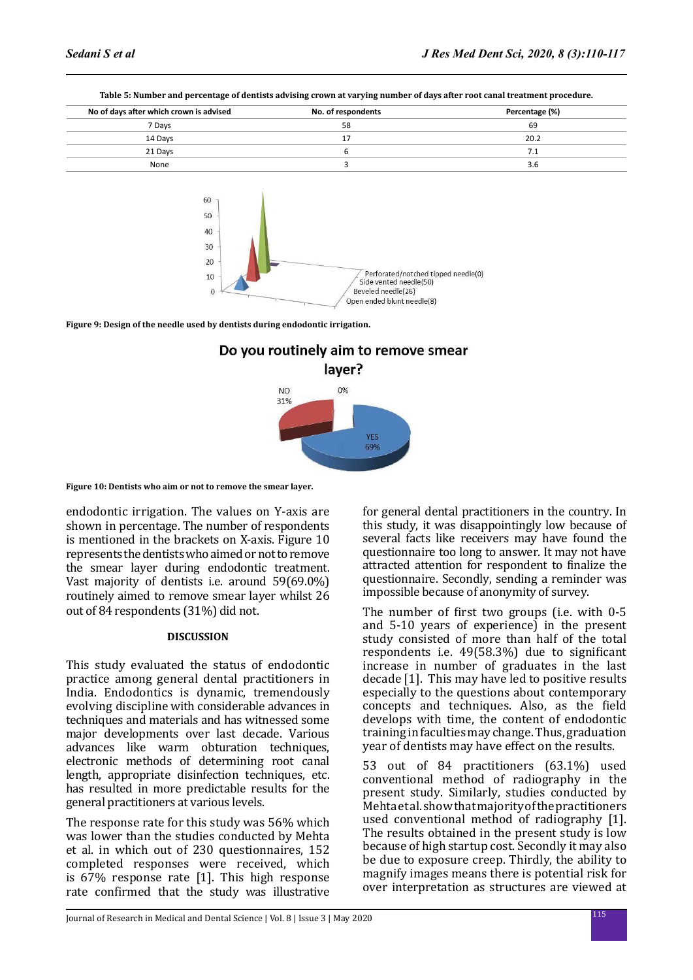| No of days after which crown is advised | No. of respondents | Percentage (%) |
|-----------------------------------------|--------------------|----------------|
| 7 Days                                  | 58                 | 69             |
| 14 Days                                 | 17                 | 20.2           |
| 21 Days                                 |                    | 7.1            |
| None                                    |                    | 3.6            |
|                                         |                    |                |





**Figure 9: Design of the needle used by dentists during endodontic irrigation.**



**Figure 10: Dentists who aim or not to remove the smear layer.**

endodontic irrigation. The values on Y-axis are shown in percentage. The number of respondents is mentioned in the brackets on X-axis. Figure 10 represents the dentists who aimed or not to remove the smear layer during endodontic treatment. Vast majority of dentists i.e. around 59(69.0%) routinely aimed to remove smear layer whilst 26 out of 84 respondents (31%) did not.

### **DISCUSSION**

This study evaluated the status of endodontic practice among general dental practitioners in India. Endodontics is dynamic, tremendously evolving discipline with considerable advances in techniques and materials and has witnessed some major developments over last decade. Various advances like warm obturation techniques, electronic methods of determining root canal length, appropriate disinfection techniques, etc. has resulted in more predictable results for the general practitioners at various levels.

The response rate for this study was 56% which was lower than the studies conducted by Mehta et al. in which out of 230 questionnaires, 152 completed responses were received, which is 67% response rate [1]. This high response rate confirmed that the study was illustrative for general dental practitioners in the country. In this study, it was disappointingly low because of several facts like receivers may have found the questionnaire too long to answer. It may not have attracted attention for respondent to finalize the questionnaire. Secondly, sending a reminder was impossible because of anonymity of survey.

The number of first two groups (i.e. with 0-5 and 5-10 years of experience) in the present study consisted of more than half of the total respondents i.e. 49(58.3%) due to significant increase in number of graduates in the last decade [1]. This may have led to positive results especially to the questions about contemporary concepts and techniques. Also, as the field develops with time, the content of endodontic training in faculties may change. Thus, graduation year of dentists may have effect on the results.

53 out of 84 practitioners (63.1%) used conventional method of radiography in the present study. Similarly, studies conducted by Mehta et al. show that majority of the practitioners used conventional method of radiography [1]. The results obtained in the present study is low because of high startup cost. Secondly it may also be due to exposure creep. Thirdly, the ability to magnify images means there is potential risk for over interpretation as structures are viewed at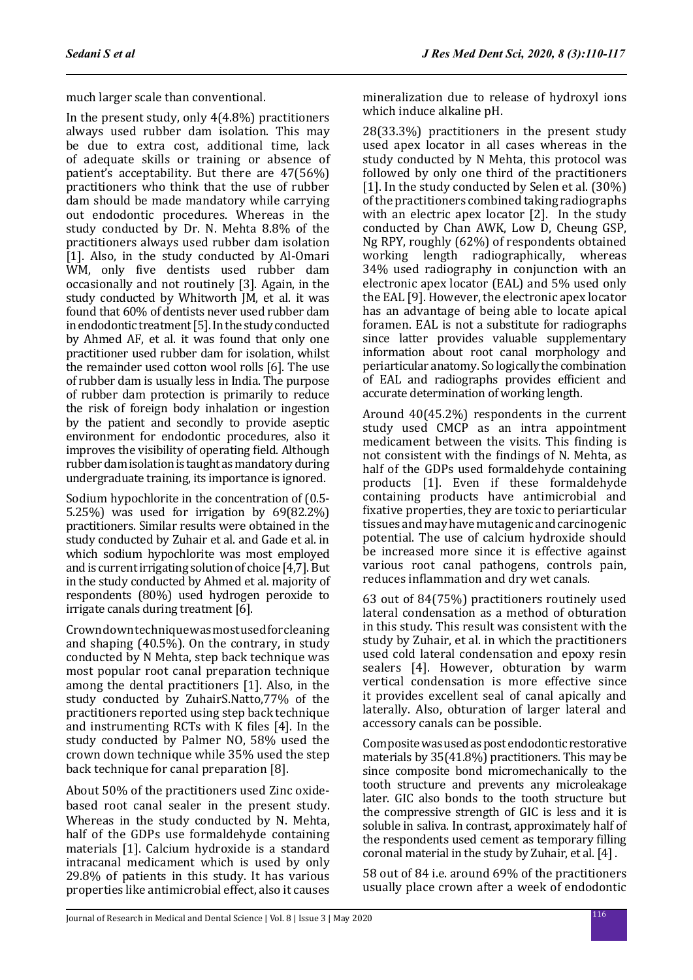much larger scale than conventional.

In the present study, only 4(4.8%) practitioners always used rubber dam isolation. This may be due to extra cost, additional time, lack of adequate skills or training or absence of patient's acceptability. But there are 47(56%) practitioners who think that the use of rubber dam should be made mandatory while carrying out endodontic procedures. Whereas in the study conducted by Dr. N. Mehta 8.8% of the practitioners always used rubber dam isolation [1]. Also, in the study conducted by Al-Omari WM, only five dentists used rubber dam occasionally and not routinely [3]. Again, in the study conducted by Whitworth JM, et al. it was found that 60% of dentists never used rubber dam in endodontic treatment [5]. In the study conducted by Ahmed AF, et al. it was found that only one practitioner used rubber dam for isolation, whilst the remainder used cotton wool rolls [6]. The use of rubber dam is usually less in India. The purpose of rubber dam protection is primarily to reduce the risk of foreign body inhalation or ingestion by the patient and secondly to provide aseptic environment for endodontic procedures, also it improves the visibility of operating field. Although rubber dam isolation is taught as mandatory during undergraduate training, its importance is ignored.

Sodium hypochlorite in the concentration of (0.5- 5.25%) was used for irrigation by 69(82.2%) practitioners. Similar results were obtained in the study conducted by Zuhair et al. and Gade et al. in which sodium hypochlorite was most employed and is current irrigating solution of choice [4,7]. But in the study conducted by Ahmed et al. majority of respondents (80%) used hydrogen peroxide to irrigate canals during treatment [6].

Crown down technique was most used for cleaning and shaping (40.5%). On the contrary, in study conducted by N Mehta, step back technique was most popular root canal preparation technique among the dental practitioners [1]. Also, in the study conducted by ZuhairS.Natto,77% of the practitioners reported using step back technique and instrumenting RCTs with K files [4]. In the study conducted by Palmer NO, 58% used the crown down technique while 35% used the step back technique for canal preparation [8].

About 50% of the practitioners used Zinc oxidebased root canal sealer in the present study. Whereas in the study conducted by N. Mehta, half of the GDPs use formaldehyde containing materials [1]. Calcium hydroxide is a standard intracanal medicament which is used by only 29.8% of patients in this study. It has various properties like antimicrobial effect, also it causes mineralization due to release of hydroxyl ions which induce alkaline pH.

28(33.3%) practitioners in the present study used apex locator in all cases whereas in the study conducted by N Mehta, this protocol was followed by only one third of the practitioners [1]. In the study conducted by Selen et al. (30%) of the practitioners combined taking radiographs with an electric apex locator [2]. In the study conducted by Chan AWK, Low D, Cheung GSP, Ng RPY, roughly (62%) of respondents obtained working length radiographically, 34% used radiography in conjunction with an electronic apex locator (EAL) and 5% used only the EAL [9]. However, the electronic apex locator has an advantage of being able to locate apical foramen. EAL is not a substitute for radiographs since latter provides valuable supplementary information about root canal morphology and periarticular anatomy. So logically the combination of EAL and radiographs provides efficient and accurate determination of working length.

Around 40(45.2%) respondents in the current study used CMCP as an intra appointment medicament between the visits. This finding is not consistent with the findings of N. Mehta, as half of the GDPs used formaldehyde containing products [1]. Even if these formaldehyde containing products have antimicrobial and fixative properties, they are toxic to periarticular tissues and may have mutagenic and carcinogenic potential. The use of calcium hydroxide should be increased more since it is effective against various root canal pathogens, controls pain, reduces inflammation and dry wet canals.

63 out of 84(75%) practitioners routinely used lateral condensation as a method of obturation in this study. This result was consistent with the study by Zuhair, et al. in which the practitioners used cold lateral condensation and epoxy resin sealers [4]. However, obturation by warm vertical condensation is more effective since it provides excellent seal of canal apically and laterally. Also, obturation of larger lateral and accessory canals can be possible.

Composite was used as post endodontic restorative materials by 35(41.8%) practitioners. This may be since composite bond micromechanically to the tooth structure and prevents any microleakage later. GIC also bonds to the tooth structure but the compressive strength of GIC is less and it is soluble in saliva. In contrast, approximately half of the respondents used cement as temporary filling coronal material in the study by Zuhair, et al. [4] .

58 out of 84 i.e. around 69% of the practitioners usually place crown after a week of endodontic